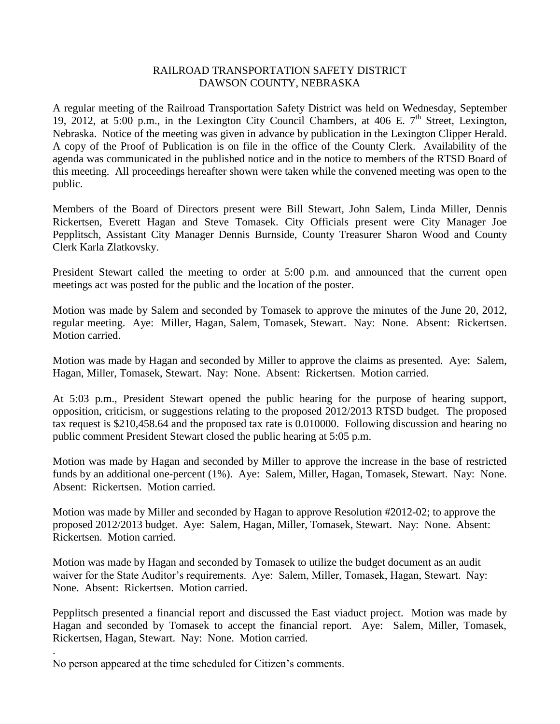## RAILROAD TRANSPORTATION SAFETY DISTRICT DAWSON COUNTY, NEBRASKA

A regular meeting of the Railroad Transportation Safety District was held on Wednesday, September 19, 2012, at 5:00 p.m., in the Lexington City Council Chambers, at 406 E.  $7<sup>th</sup>$  Street, Lexington, Nebraska. Notice of the meeting was given in advance by publication in the Lexington Clipper Herald. A copy of the Proof of Publication is on file in the office of the County Clerk. Availability of the agenda was communicated in the published notice and in the notice to members of the RTSD Board of this meeting. All proceedings hereafter shown were taken while the convened meeting was open to the public.

Members of the Board of Directors present were Bill Stewart, John Salem, Linda Miller, Dennis Rickertsen, Everett Hagan and Steve Tomasek. City Officials present were City Manager Joe Pepplitsch, Assistant City Manager Dennis Burnside, County Treasurer Sharon Wood and County Clerk Karla Zlatkovsky.

President Stewart called the meeting to order at 5:00 p.m. and announced that the current open meetings act was posted for the public and the location of the poster.

Motion was made by Salem and seconded by Tomasek to approve the minutes of the June 20, 2012, regular meeting. Aye: Miller, Hagan, Salem, Tomasek, Stewart. Nay: None. Absent: Rickertsen. Motion carried.

Motion was made by Hagan and seconded by Miller to approve the claims as presented. Aye: Salem, Hagan, Miller, Tomasek, Stewart. Nay: None. Absent: Rickertsen. Motion carried.

At 5:03 p.m., President Stewart opened the public hearing for the purpose of hearing support, opposition, criticism, or suggestions relating to the proposed 2012/2013 RTSD budget. The proposed tax request is \$210,458.64 and the proposed tax rate is 0.010000. Following discussion and hearing no public comment President Stewart closed the public hearing at 5:05 p.m.

Motion was made by Hagan and seconded by Miller to approve the increase in the base of restricted funds by an additional one-percent (1%). Aye: Salem, Miller, Hagan, Tomasek, Stewart. Nay: None. Absent: Rickertsen. Motion carried.

Motion was made by Miller and seconded by Hagan to approve Resolution #2012-02; to approve the proposed 2012/2013 budget. Aye: Salem, Hagan, Miller, Tomasek, Stewart. Nay: None. Absent: Rickertsen. Motion carried.

Motion was made by Hagan and seconded by Tomasek to utilize the budget document as an audit waiver for the State Auditor's requirements. Aye: Salem, Miller, Tomasek, Hagan, Stewart. Nay: None. Absent: Rickertsen. Motion carried.

Pepplitsch presented a financial report and discussed the East viaduct project. Motion was made by Hagan and seconded by Tomasek to accept the financial report. Aye: Salem, Miller, Tomasek, Rickertsen, Hagan, Stewart. Nay: None. Motion carried.

No person appeared at the time scheduled for Citizen's comments.

.